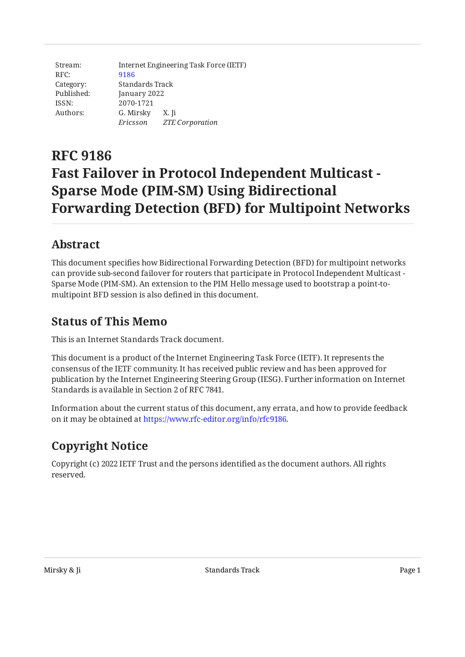| Stream:    | Internet Engineering Task Force (IETF) |                 |  |
|------------|----------------------------------------|-----------------|--|
| RFC:       | 9186                                   |                 |  |
| Category:  | Standards Track                        |                 |  |
| Published: | January 2022                           |                 |  |
| ISSN:      | 2070-1721                              |                 |  |
| Authors:   | G. Mirsky X. Ji                        |                 |  |
|            | Ericsson                               | ZTE Corporation |  |

# **RFC 9186 Fast Failover in Protocol Independent Multicast - Sparse Mode (PIM-SM) Using Bidirectional Forwarding Detection (BFD) for Multipoint Networks**

# <span id="page-0-0"></span>**[Abstract](#page-0-0)**

This document specifies how Bidirectional Forwarding Detection (BFD) for multipoint networks can provide sub-second failover for routers that participate in Protocol Independent Multicast - Sparse Mode (PIM-SM). An extension to the PIM Hello message used to bootstrap a point-tomultipoint BFD session is also defined in this document.

## <span id="page-0-1"></span>**[Status of This Memo](#page-0-1)**

This is an Internet Standards Track document.

This document is a product of the Internet Engineering Task Force (IETF). It represents the consensus of the IETF community. It has received public review and has been approved for publication by the Internet Engineering Steering Group (IESG). Further information on Internet Standards is available in Section 2 of RFC 7841.

Information about the current status of this document, any errata, and how to provide feedback on it may be obtained at [https://www.rfc-editor.org/info/rfc9186.](https://www.rfc-editor.org/info/rfc9186)

# <span id="page-0-2"></span>**[Copyright Notice](#page-0-2)**

Copyright (c) 2022 IETF Trust and the persons identified as the document authors. All rights reserved.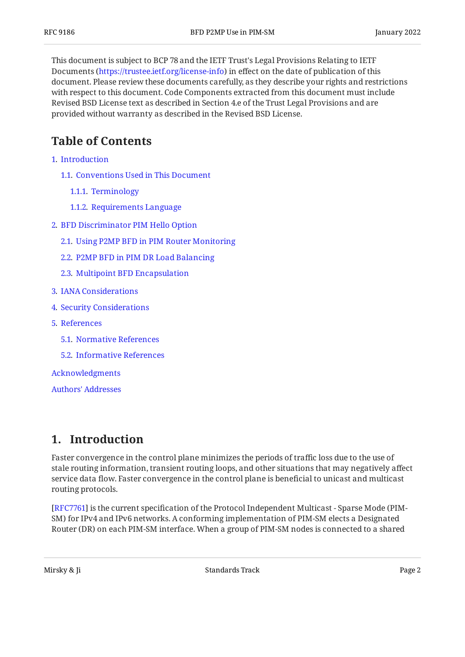This document is subject to BCP 78 and the IETF Trust's Legal Provisions Relating to IETF Documents (<https://trustee.ietf.org/license-info>) in effect on the date of publication of this document. Please review these documents carefully, as they describe your rights and restrictions with respect to this document. Code Components extracted from this document must include Revised BSD License text as described in Section 4.e of the Trust Legal Provisions and are provided without warranty as described in the Revised BSD License.

# <span id="page-1-0"></span>**[Table of Contents](#page-1-0)**

- [1](#page-1-1). [Introduction](#page-1-1)
	- [1.1.](#page-2-0) [Conventions Used in This Document](#page-2-0)
		- [1.1.1](#page-2-1). [Terminology](#page-2-1)
		- [1.1.2](#page-2-2). [Requirements Language](#page-2-2)
- [2](#page-2-3). [BFD Discriminator PIM Hello Option](#page-2-3)
	- [2.1.](#page-3-0) [Using P2MP BFD in PIM Router Monitoring](#page-3-0)
	- [2.2.](#page-4-0) [P2MP BFD in PIM DR Load Balancing](#page-4-0)
	- [2.3.](#page-4-1) [Multipoint BFD Encapsulation](#page-4-1)
- [3](#page-4-2). [IANA Considerations](#page-4-2)
- [4](#page-4-3). [Security Considerations](#page-4-3)
- [5](#page-5-0). [References](#page-5-0)
	- [5.1.](#page-5-1) [Normative References](#page-5-1)
	- [5.2.](#page-5-2) [Informative References](#page-5-2)

[Acknowledgments](#page-5-3)

[Authors' Addresses](#page-6-0)

### <span id="page-1-1"></span>**[1. Introduction](#page-1-1)**

Faster convergence in the control plane minimizes the periods of traffic loss due to the use of stale routing information, transient routing loops, and other situations that may negatively affect service data flow. Faster convergence in the control plane is beneficial to unicast and multicast routing protocols.

[[RFC7761\]](#page-5-4) is the current specification of the Protocol Independent Multicast - Sparse Mode (PIM-SM) for IPv4 and IPv6 networks. A conforming implementation of PIM-SM elects a Designated Router (DR) on each PIM-SM interface. When a group of PIM-SM nodes is connected to a shared

Mirsky & Ji Standards Track Page 2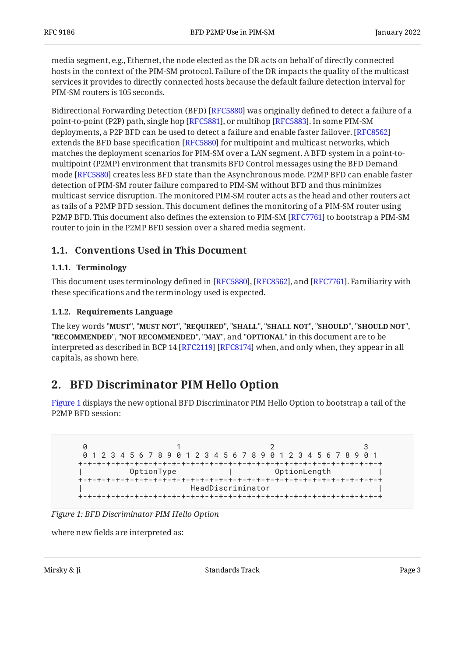media segment, e.g., Ethernet, the node elected as the DR acts on behalf of directly connected hosts in the context of the PIM-SM protocol. Failure of the DR impacts the quality of the multicast services it provides to directly connected hosts because the default failure detection interval for PIM-SM routers is 105 seconds.

Bidirectional Forwarding Detection (BFD) [RFC5880] was originally defined to detect a failure of a point-to-point (P2P) path, single hop [RFC5881], or multihop [RFC5883]. In some PIM-SM deployments, a P2P BFD can be used to detect a failure and enable faster failover. [[RFC8562\]](#page-5-8) extends the BFD base specification [RFC5880] for multipoint and multicast networks, which matches the deployment scenarios for PIM-SM over a LAN segment. A BFD system in a point-tomultipoint (P2MP) environment that transmits BFD Control messages using the BFD Demand mode [RFC5880] creates less BFD state than the Asynchronous mode. P2MP BFD can enable faster detection of PIM-SM router failure compared to PIM-SM without BFD and thus minimizes multicast service disruption. The monitored PIM-SM router acts as the head and other routers act as tails of a P2MP BFD session. This document defines the monitoring of a PIM-SM router using <code>P2MP</code> BFD. This document also defines the extension to <code>PIM-SM</code> [RFC7761] to bootstrap a <code>PIM-SM</code> router to join in the P2MP BFD session over a shared media segment.

### <span id="page-2-1"></span><span id="page-2-0"></span>**[1.1. Conventions Used in This Document](#page-2-0)**

#### **[1.1.1. Terminology](#page-2-1)**

This document uses terminology defined in [RFC5880], [RFC8562], and [RFC7761]. Familiarity with these specifications and the terminology used is expected.

#### <span id="page-2-2"></span>**[1.1.2. Requirements Language](#page-2-2)**

The key words "MUST", "MUST NOT", "REQUIRED", "SHALL", "SHALL NOT", "SHOULD", "SHOULD NOT", "**RECOMMENDED", "NOT RECOMMENDED", "MAY",** and "OPTIONAL" in this document are to be interpreted as described in BCP 14 [RFC2119] [RFC8174] when, and only when, they appear in all capitals, as shown here.

## <span id="page-2-3"></span>**[2. BFD Discriminator PIM Hello Option](#page-2-3)**

[Figure 1](#page-2-4) displays the new optional BFD Discriminator PIM Hello Option to bootstrap a tail of the P2MP BFD session:

```
0 1 2 3
 0 1 2 3 4 5 6 7 8 9 0 1 2 3 4 5 6 7 8 9 0 1 2 3 4 5 6 7 8 9 0 1
+-+-+-+-+-+-+-+-+-+-+-+-+-+-+-+-+-+-+-+-+-+-+-+-+-+-+-+-+-+-+-+-+
         | OptionType | OptionLength |
+-+-+-+-+-+-+-+-+-+-+-+-+-+-+-+-+-+-+-+-+-+-+-+-+-+-+-+-+-+-+-+-+
                    | HeadDiscriminator |
 +-+-+-+-+-+-+-+-+-+-+-+-+-+-+-+-+-+-+-+-+-+-+-+-+-+-+-+-+-+-+-+-+
```
*[Figure 1: BFD Discriminator PIM Hello Option](#page-2-4)* 

where new fields are interpreted as: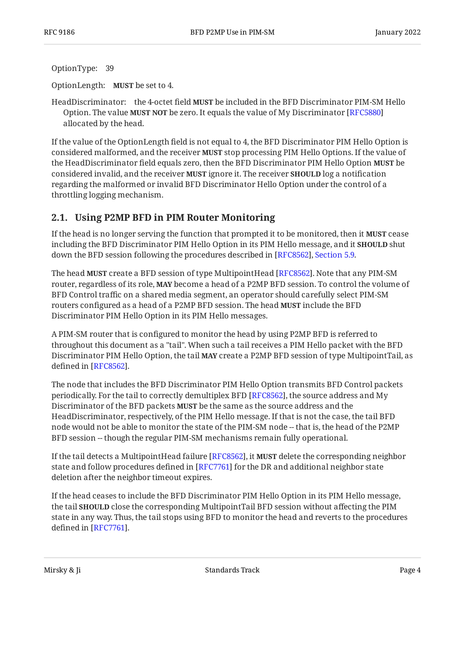OptionType: 39

OptionLength: **MUST** be set to 4.

HeadDiscriminator: the 4-octet field **MUST** be included in the BFD Discriminator PIM-SM Hello Option. The value **MUST NOT** be zero. It equals the value of My Discriminator [[RFC5880\]](#page-5-5) allocated by the head.

If the value of the OptionLength field is not equal to 4, the BFD Discriminator PIM Hello Option is considered malformed, and the receiver **MUST** stop processing PIM Hello Options. If the value of the HeadDiscriminator field equals zero, then the BFD Discriminator PIM Hello Option **MUST** be considered invalid, and the receiver **MUST** ignore it. The receiver **SHOULD** log a notification regarding the malformed or invalid BFD Discriminator Hello Option under the control of a throttling logging mechanism.

#### <span id="page-3-0"></span>**[2.1. Using P2MP BFD in PIM Router Monitoring](#page-3-0)**

If the head is no longer serving the function that prompted it to be monitored, then it **MUST** cease including the BFD Discriminator PIM Hello Option in its PIM Hello message, and it **SHOULD** shut down the BFD session following the procedures described in [RFC8562], Section 5.9.

The head **MUST** create a BFD session of type MultipointHead [RFC8562]. Note that any PIM-SM router, regardless of its role, **MAY** become a head of a P2MP BFD session. To control the volume of BFD Control traffic on a shared media segment, an operator should carefully select PIM-SM routers configured as a head of a P2MP BFD session. The head **MUST** include the BFD Discriminator PIM Hello Option in its PIM Hello messages.

A PIM-SM router that is configured to monitor the head by using P2MP BFD is referred to throughout this document as a "tail". When such a tail receives a PIM Hello packet with the BFD Discriminator PIM Hello Option, the tail **MAY** create a P2MP BFD session of type MultipointTail, as defined in [RFC8562].

The node that includes the BFD Discriminator PIM Hello Option transmits BFD Control packets periodically. For the tail to correctly demultiplex BFD [\[RFC8562](#page-5-8)], the source address and My Discriminator of the BFD packets **MUST** be the same as the source address and the HeadDiscriminator, respectively, of the PIM Hello message. If that is not the case, the tail BFD node would not be able to monitor the state of the PIM-SM node -- that is, the head of the P2MP BFD session -- though the regular PIM-SM mechanisms remain fully operational.

If the tail detects a MultipointHead failure [RFC8562], it **MUST** delete the corresponding neighbor state and follow procedures defined in [RFC7761] for the DR and additional neighbor state deletion after the neighbor timeout expires.

If the head ceases to include the BFD Discriminator PIM Hello Option in its PIM Hello message, the tail **SHOULD** close the corresponding MultipointTail BFD session without affecting the PIM state in any way. Thus, the tail stops using BFD to monitor the head and reverts to the procedures defined in [RFC7761].

Mirsky & Ji **Standards Track** Page 4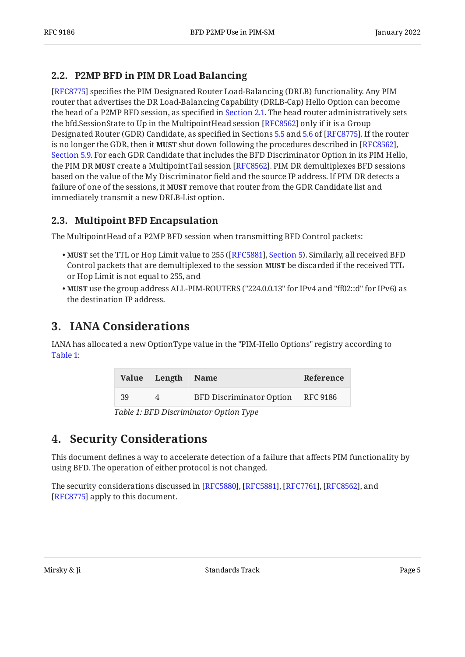### <span id="page-4-0"></span>**[2.2. P2MP BFD in PIM DR Load Balancing](#page-4-0)**

[[RFC8775\]](#page-5-11) specifies the PIM Designated Router Load-Balancing (DRLB) functionality. Any PIM router that advertises the DR Load-Balancing Capability (DRLB-Cap) Hello Option can become the head of a P2MP BFD session, as specified in [Section 2.1.](#page-3-0) The head router administratively sets the bfd.SessionState to Up in the MultipointHead session [RFC8562] only if it is a Group Designated Router (GDR) Candidate, as specified in Sections [5.5](https://www.rfc-editor.org/rfc/rfc8775#section-5.5) and [5.6](https://www.rfc-editor.org/rfc/rfc8775#section-5.6) of [RFC8775]. If the router is no longer the GDR, then it **MUST** shut down following the procedures described in [\[RFC8562\]](#page-5-8)**,** . For each GDR Candidate that includes the BFD Discriminator Option in its PIM Hello, [Section 5.9](https://www.rfc-editor.org/rfc/rfc8562#section-5.9) the PIM DR **MUST** create a MultipointTail session [RFC8562]. PIM DR demultiplexes BFD sessions based on the value of the My Discriminator field and the source IP address. If PIM DR detects a failure of one of the sessions, it **MUST** remove that router from the GDR Candidate list and immediately transmit a new DRLB-List option.

### <span id="page-4-1"></span>**[2.3. Multipoint BFD Encapsulation](#page-4-1)**

The MultipointHead of a P2MP BFD session when transmitting BFD Control packets:

- **MUST** set the TTL or Hop Limit value to 255 ([RFC5881], Section 5). Similarly, all received BFD Control packets that are demultiplexed to the session **MUST** be discarded if the received TTL or Hop Limit is not equal to 255, and
- MUST use the group address ALL-PIM-ROUTERS ("224.0.0.13" for IPv4 and "ff02::d" for IPv6) as the destination IP address.

# <span id="page-4-2"></span>**[3. IANA Considerations](#page-4-2)**

<span id="page-4-4"></span>IANA has allocated a new OptionType value in the "PIM-Hello Options" registry according to [Table 1:](#page-4-4)

<span id="page-4-5"></span>

|    | Value Length Name |                                   | Reference |
|----|-------------------|-----------------------------------|-----------|
| 39 | $\Delta$          | BFD Discriminator Option RFC 9186 |           |

*[Table 1](#page-4-5): [BFD Discriminator Option Type](#page-4-4)* 

## <span id="page-4-3"></span>**[4. Security Considerations](#page-4-3)**

This document defines a way to accelerate detection of a failure that affects PIM functionality by using BFD. The operation of either protocol is not changed.

The security considerations discussed in [RFC5880], [RFC5881], [RFC7761], [RFC8562], and [[RFC8775\]](#page-5-11) apply to this document.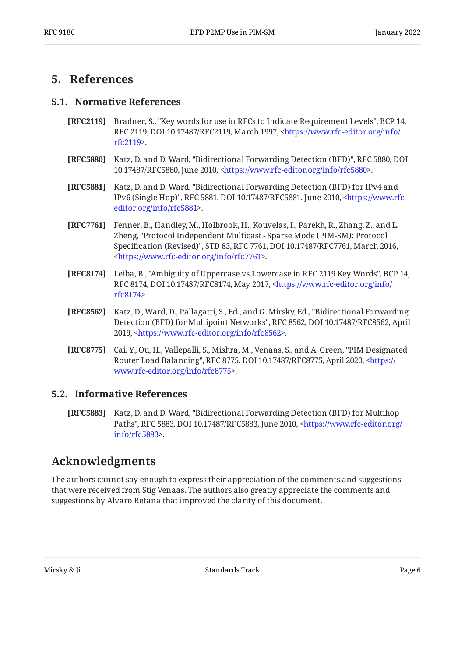### <span id="page-5-1"></span><span id="page-5-0"></span>**[5. References](#page-5-0)**

#### **[5.1. Normative References](#page-5-1)**

- <span id="page-5-9"></span>**[RFC2119]** Bradner, S., "Key words for use in RFCs to Indicate Requirement Levels", BCP 14, RFC 2119, DOI 10.17487/RFC2119, March 1997, [<https://www.rfc-editor.org/info/](https://www.rfc-editor.org/info/rfc2119) . [rfc2119](https://www.rfc-editor.org/info/rfc2119)>
- <span id="page-5-5"></span>**[RFC5880]** Katz, D. and D. Ward, "Bidirectional Forwarding Detection (BFD)", RFC 5880, DOI 10.17487/RFC5880, June 2010, <https://www.rfc-editor.org/info/rfc5880>.
- <span id="page-5-6"></span>**[RFC5881]** Katz, D. and D. Ward, "Bidirectional Forwarding Detection (BFD) for IPv4 and IPv6 (Single Hop)", RFC 5881, DOI 10.17487/RFC5881, June 2010, [<https://www.rfc-](https://www.rfc-editor.org/info/rfc5881). [editor.org/info/rfc5881](https://www.rfc-editor.org/info/rfc5881)>
- <span id="page-5-4"></span>**[RFC7761]** Fenner, B., Handley, M., Holbrook, H., Kouvelas, I., Parekh, R., Zhang, Z., and L. Zheng, "Protocol Independent Multicast - Sparse Mode (PIM-SM): Protocol Specification (Revised)", STD 83, RFC 7761, DOI 10.17487/RFC7761, March 2016, . [<https://www.rfc-editor.org/info/rfc7761](https://www.rfc-editor.org/info/rfc7761)>
- <span id="page-5-10"></span>**[RFC8174]** Leiba, B., "Ambiguity of Uppercase vs Lowercase in RFC 2119 Key Words", BCP 14, RFC 8174, DOI 10.17487/RFC8174, May 2017, <[https://www.rfc-editor.org/info/](https://www.rfc-editor.org/info/rfc8174) . [rfc8174](https://www.rfc-editor.org/info/rfc8174)>
- <span id="page-5-8"></span>**[RFC8562]** Katz, D., Ward, D., Pallagatti, S., Ed., and G. Mirsky, Ed., "Bidirectional Forwarding Detection (BFD) for Multipoint Networks", RFC 8562, DOI 10.17487/RFC8562, April 2019, <https://www.rfc-editor.org/info/rfc8562>.
- <span id="page-5-11"></span>**[RFC8775]** Cai, Y., Ou, H., Vallepalli, S., Mishra, M., Venaas, S., and A. Green, "PIM Designated Router Load Balancing", RFC 8775, DOI 10.17487/RFC8775, April 2020, <[https://](https://www.rfc-editor.org/info/rfc8775) . [www.rfc-editor.org/info/rfc8775>](https://www.rfc-editor.org/info/rfc8775)

#### <span id="page-5-2"></span>**[5.2. Informative References](#page-5-2)**

<span id="page-5-7"></span>**[RFC5883]** Katz, D. and D. Ward, "Bidirectional Forwarding Detection (BFD) for Multihop Paths", RFC 5883, DOI 10.17487/RFC5883, June 2010, [<https://www.rfc-editor.org/](https://www.rfc-editor.org/info/rfc5883) . [info/rfc5883>](https://www.rfc-editor.org/info/rfc5883)

## <span id="page-5-3"></span>**[Acknowledgments](#page-5-3)**

The authors cannot say enough to express their appreciation of the comments and suggestions that were received from Stig Venaas. The authors also greatly appreciate the comments and suggestions by Alvaro Retana that improved the clarity of this document.